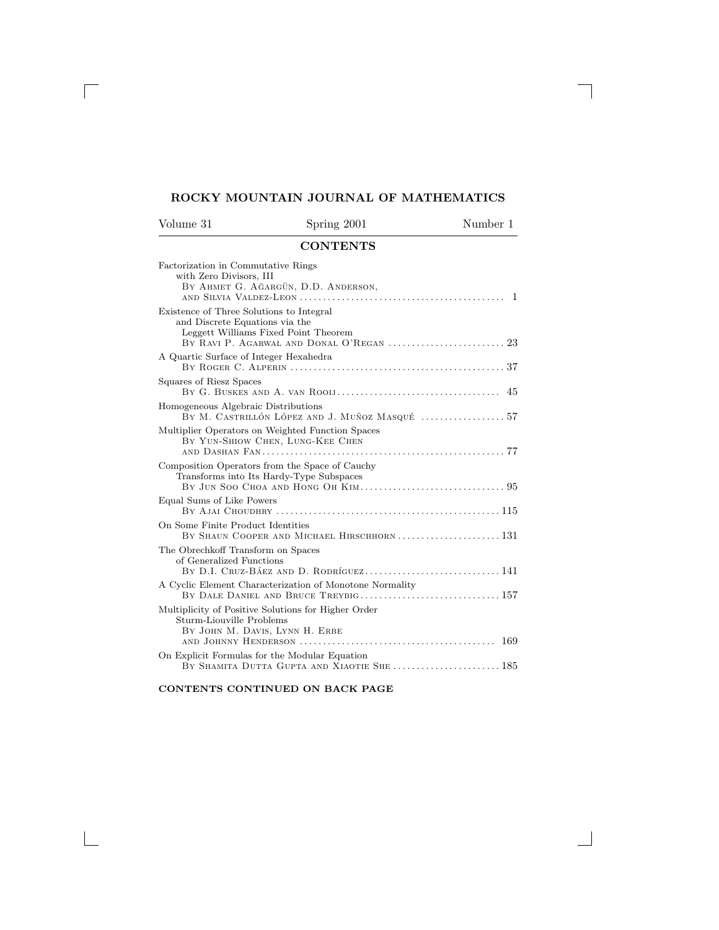## **ROCKY MOUNTAIN JOURNAL OF MATHEMATICS**

 $\overline{\phantom{a}}$ 

 $\overline{\phantom{a}}$ 

<span id="page-0-0"></span> $\Box$ 

 $\mathbb{R}^n$ 

| Volume 31                                                                  | Spring 2001                          | Number 1 |
|----------------------------------------------------------------------------|--------------------------------------|----------|
|                                                                            | <b>CONTENTS</b>                      |          |
| Factorization in Commutative Rings<br>with Zero Divisors, III              | BY AHMET G. AGARGÜN, D.D. ANDERSON,  |          |
| Existence of Three Solutions to Integral<br>and Discrete Equations via the | Leggett Williams Fixed Point Theorem |          |
| A Quartic Surface of Integer Hexahedra                                     |                                      |          |
| Squares of Riesz Spaces                                                    |                                      |          |

| DY AHMEI G. AGARGUN, D.D. ANDERSON,<br>$\mathbf{1}$                                                                |
|--------------------------------------------------------------------------------------------------------------------|
| Existence of Three Solutions to Integral<br>and Discrete Equations via the<br>Leggett Williams Fixed Point Theorem |
| A Quartic Surface of Integer Hexahedra                                                                             |
| Squares of Riesz Spaces                                                                                            |
| Homogeneous Algebraic Distributions<br>BY M. CASTRILLÓN LÓPEZ AND J. MUÑOZ MASQUÉ  57                              |
| Multiplier Operators on Weighted Function Spaces<br>BY YUN-SHIOW CHEN, LUNG-KEE CHEN                               |
| Composition Operators from the Space of Cauchy<br>Transforms into Its Hardy-Type Subspaces                         |
| Equal Sums of Like Powers                                                                                          |
| On Some Finite Product Identities<br>BY SHAUN COOPER AND MICHAEL HIRSCHHORN  131                                   |
| The Obrechkoff Transform on Spaces<br>of Generalized Functions                                                     |
| A Cyclic Element Characterization of Monotone Normality<br>BY DALE DANIEL AND BRUCE TREYBIG 157                    |
| Multiplicity of Positive Solutions for Higher Order<br>Sturm-Liouville Problems<br>BY JOHN M. DAVIS, LYNN H. ERBE  |
| On Explicit Formulas for the Modular Equation<br>BY SHAMITA DUTTA GUPTA AND XIAOTIE SHE  185                       |

## **CONTENTS CONTINUED ON BACK PAGE**